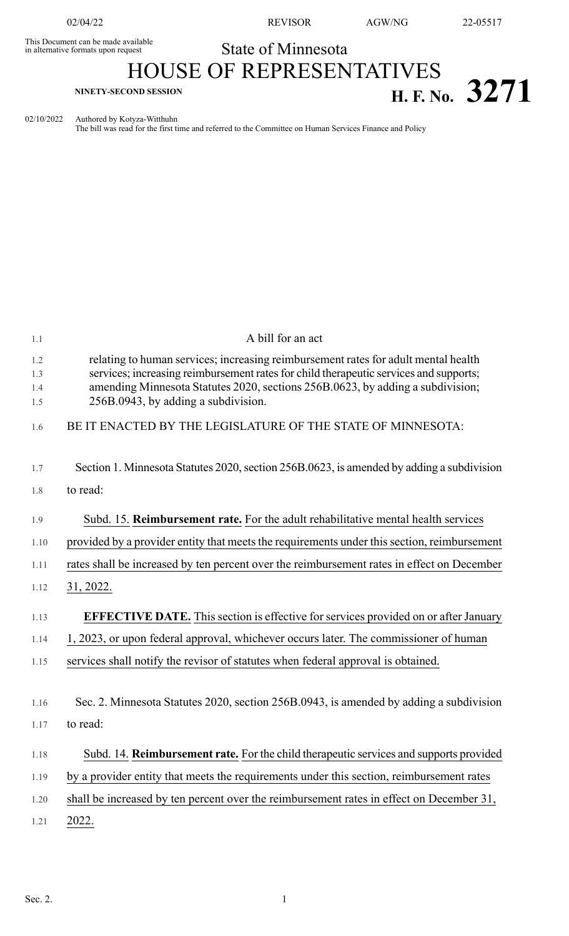This Document can be made available<br>in alternative formats upon request

## State of Minnesota

## HOUSE OF REPRESENTATIVES **H. F. NO.** 3271

02/10/2022 Authored by Kotyza-Witthuhn

The bill was read for the first time and referred to the Committee on Human Services Finance and Policy

| 1.1                      | A bill for an act                                                                                                                                                                                                                                                                                    |
|--------------------------|------------------------------------------------------------------------------------------------------------------------------------------------------------------------------------------------------------------------------------------------------------------------------------------------------|
| 1.2<br>1.3<br>1.4<br>1.5 | relating to human services; increasing reimbursement rates for adult mental health<br>services; increasing reimbursement rates for child therapeutic services and supports;<br>amending Minnesota Statutes 2020, sections 256B.0623, by adding a subdivision;<br>256B.0943, by adding a subdivision. |
| 1.6                      | BE IT ENACTED BY THE LEGISLATURE OF THE STATE OF MINNESOTA:                                                                                                                                                                                                                                          |
| 1.7                      | Section 1. Minnesota Statutes 2020, section 256B.0623, is amended by adding a subdivision                                                                                                                                                                                                            |
| 1.8                      | to read:                                                                                                                                                                                                                                                                                             |
| 1.9                      | Subd. 15. Reimbursement rate. For the adult rehabilitative mental health services                                                                                                                                                                                                                    |
| 1.10                     | provided by a provider entity that meets the requirements under this section, reimbursement                                                                                                                                                                                                          |
| 1.11                     | rates shall be increased by ten percent over the reimbursement rates in effect on December                                                                                                                                                                                                           |
| 1.12                     | <u>31, 2022.</u>                                                                                                                                                                                                                                                                                     |
| 1.13                     | <b>EFFECTIVE DATE.</b> This section is effective for services provided on or after January                                                                                                                                                                                                           |
| 1.14                     | 1, 2023, or upon federal approval, whichever occurs later. The commissioner of human                                                                                                                                                                                                                 |
| 1.15                     | services shall notify the revisor of statutes when federal approval is obtained.                                                                                                                                                                                                                     |
| 1.16                     | Sec. 2. Minnesota Statutes 2020, section 256B.0943, is amended by adding a subdivision                                                                                                                                                                                                               |
| 1.17                     | to read:                                                                                                                                                                                                                                                                                             |
| 1.18                     | Subd. 14. Reimbursement rate. For the child therapeutic services and supports provided                                                                                                                                                                                                               |
| 1.19                     | by a provider entity that meets the requirements under this section, reimbursement rates                                                                                                                                                                                                             |
| 1.20                     | shall be increased by ten percent over the reimbursement rates in effect on December 31,                                                                                                                                                                                                             |
| 1.21                     | 2022.                                                                                                                                                                                                                                                                                                |
|                          |                                                                                                                                                                                                                                                                                                      |